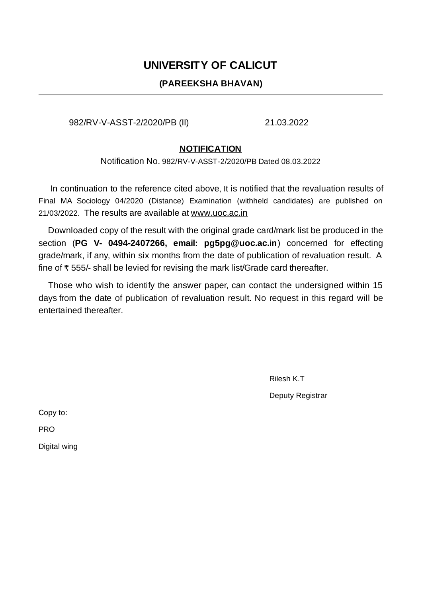## **UNIVERSITY OF CALICUT**

## **(PAREEKSHA BHAVAN)**

982/RV-V-ASST-2/2020/PB (II) 21.03.2022

## **NOTIFICATION**

Notification No. 982/RV-V-ASST-2/2020/PB Dated 08.03.2022

In continuation to the reference cited above, It is notified that the revaluation results of Final MA Sociology 04/2020 (Distance) Examination (withheld candidates) are published on 21/03/2022. The results are available at www.uoc.ac.in

Downloaded copy of the result with the original grade card/mark list be produced in the section (**PG V- 0494-2407266, email: pg5pg@uoc.ac.in**) concerned for effecting grade/mark, if any, within six months from the date of publication of revaluation result. A fine of ₹ 555/- shall be levied for revising the mark list/Grade card thereafter.

Those who wish to identify the answer paper, can contact the undersigned within 15 days from the date of publication of revaluation result. No request in this regard will be entertained thereafter.

> Rilesh K.T Deputy Registrar

Copy to:

PRO

Digital wing